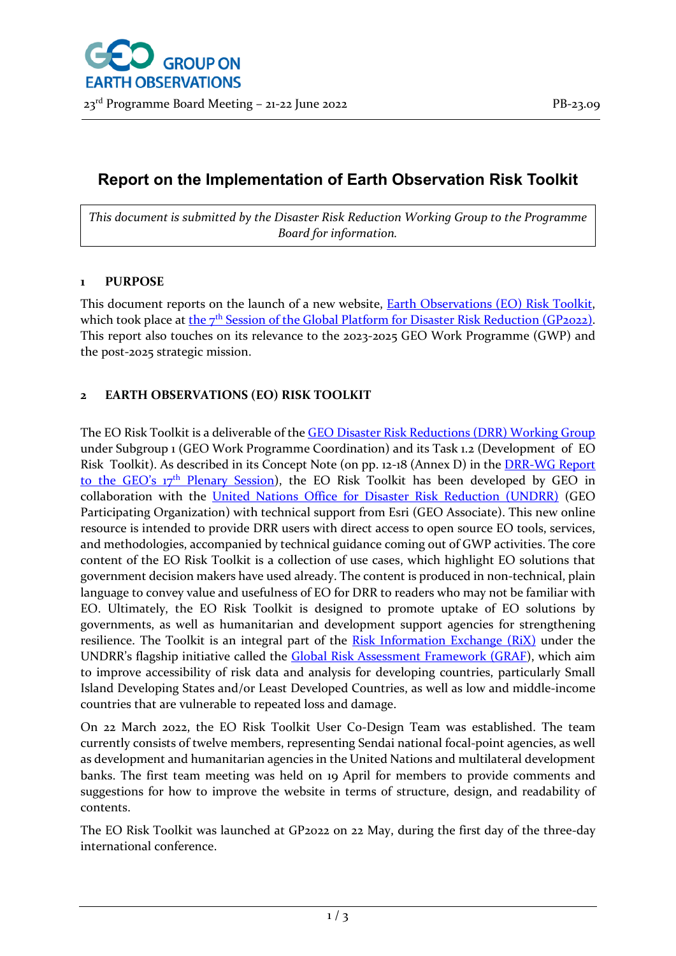# **Report on the Implementation of Earth Observation Risk Toolkit**

*This document is submitted by the Disaster Risk Reduction Working Group to the Programme Board for information.* 

### **1 PURPOSE**

This document reports on the launch of a new website, **Earth Observations (EO) Risk Toolkit**, which took place at the 7<sup>th</sup> [Session of the Global Platform for Disaster Risk Reduction \(GP2022\).](https://www.undrr.org/event/seventh-session-global-platform-disaster-risk-reduction-gp2022) This report also touches on its relevance to the 2023-2025 GEO Work Programme (GWP) and the post-2025 strategic mission.

## **2 EARTH OBSERVATIONS (EO) RISK TOOLKIT**

The EO Risk Toolkit is a deliverable of the [GEO Disaster Risk Reductions \(DRR\) Working Group](https://earthobservations.org/drr_wg.php) under Subgroup 1 (GEO Work Programme Coordination) and its Task 1.2 (Development of EO Risk Toolkit). As described in its Concept Note (on pp. 12-18 (Annex D) in the [DRR-WG Report](https://earthobservations.org/documents/drr_wg/GEO-17-3-Inf-02%20(Rev1)_Disaster%20Risk%20Reduction.pdf)  to the GEO's 17th [Plenary Session\)](https://earthobservations.org/documents/drr_wg/GEO-17-3-Inf-02%20(Rev1)_Disaster%20Risk%20Reduction.pdf), the EO Risk Toolkit has been developed by GEO in collaboration with the [United Nations Office for Disaster Risk Reduction \(UNDRR\)](https://www.undrr.org/) (GEO Participating Organization) with technical support from Esri (GEO Associate). This new online resource is intended to provide DRR users with direct access to open source EO tools, services, and methodologies, accompanied by technical guidance coming out of GWP activities. The core content of the EO Risk Toolkit is a collection of use cases, which highlight EO solutions that government decision makers have used already. The content is produced in non-technical, plain language to convey value and usefulness of EO for DRR to readers who may not be familiar with EO. Ultimately, the EO Risk Toolkit is designed to promote uptake of EO solutions by governments, as well as humanitarian and development support agencies for strengthening resilience. The Toolkit is an integral part of the [Risk Information Exchange \(RiX\)](https://rix.undrr.org/) under the UNDRR's flagship initiative called the **[Global Risk Assessment Framework \(GRAF\)](https://www.preventionweb.net/understanding-disaster-risk/graf)**, which aim to improve accessibility of risk data and analysis for developing countries, particularly Small Island Developing States and/or Least Developed Countries, as well as low and middle-income countries that are vulnerable to repeated loss and damage.

On 22 March 2022, the EO Risk Toolkit User Co-Design Team was established. The team currently consists of twelve members, representing Sendai national focal-point agencies, as well as development and humanitarian agencies in the United Nations and multilateral development banks. The first team meeting was held on 19 April for members to provide comments and suggestions for how to improve the website in terms of structure, design, and readability of contents.

The EO Risk Toolkit was launched at GP2022 on 22 May, during the first day of the three-day international conference.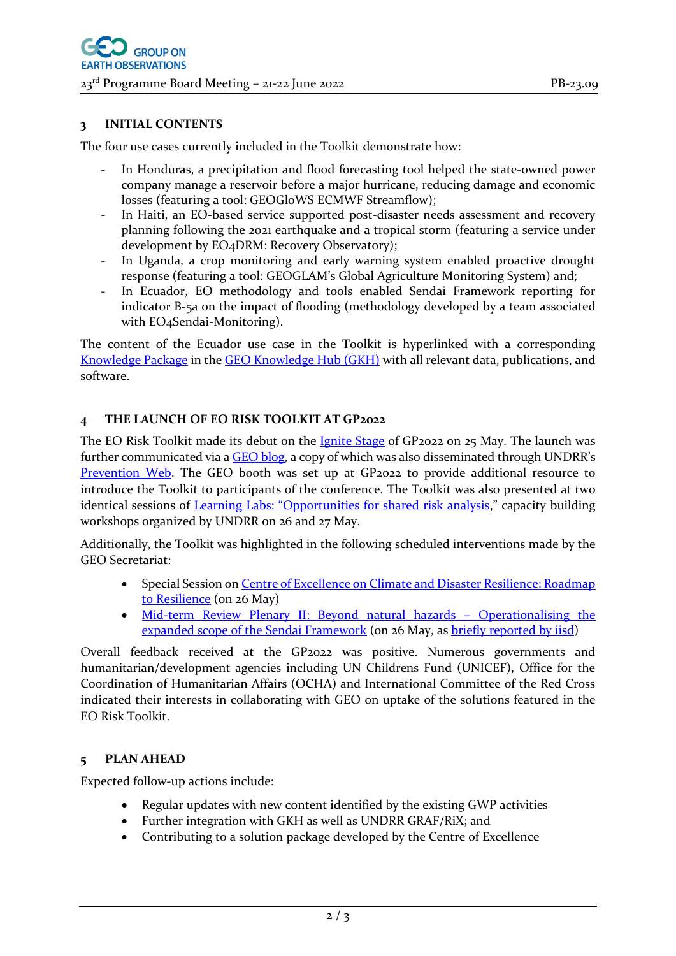#### **3 INITIAL CONTENTS**

The four use cases currently included in the Toolkit demonstrate how:

- In Honduras, a precipitation and flood forecasting tool helped the state-owned power company manage a reservoir before a major hurricane, reducing damage and economic losses (featuring a tool: GEOGloWS ECMWF Streamflow);
- In Haiti, an EO-based service supported post-disaster needs assessment and recovery planning following the 2021 earthquake and a tropical storm (featuring a service under development by EO4DRM: Recovery Observatory);
- In Uganda, a crop monitoring and early warning system enabled proactive drought response (featuring a tool: GEOGLAM's Global Agriculture Monitoring System) and;
- In Ecuador, EO methodology and tools enabled Sendai Framework reporting for indicator B-5a on the impact of flooding (methodology developed by a team associated with EO<sub>4</sub>Sendai-Monitoring).

The content of the Ecuador use case in the Toolkit is hyperlinked with a corresponding [Knowledge Package](https://gkhub.earthobservations.org/records/4sj8k-5z391) in the [GEO Knowledge Hub](https://gkhub.earthobservations.org/) (GKH) with all relevant data, publications, and software.

#### **4 THE LAUNCH OF EO RISK TOOLKIT AT GP2022**

The EO Risk Toolkit made its debut on the *[Ignite Stage](https://globalplatform.undrr.org/conference-event/earth-observations-eo-risk-toolkit-0)* of GP2022 on 25 May. The launch was further communicated via [a GEO](https://earthobservations.org/geo_blog_obs.php?id=563) blog, a copy of which was also disseminated through UNDRR's [Prevention Web.](https://www.preventionweb.net/news/new-toolkit-highlights-earth-observation-solutions-disaster-risk-reduction) The GEO booth was set up at GP2022 to provide additional resource to introduce the Toolkit to participants of the conference. The Toolkit was also presented at two identical sessions of Learning Labs[: "Opportunities for shared risk analysis](https://globalplatform.undrr.org/conference-event/learning-labs-opportunities-shared-risk-analytics)," capacity building workshops organized by UNDRR on 26 and 27 May.

Additionally, the Toolkit was highlighted in the following scheduled interventions made by the GEO Secretariat:

- Special Session on Centre of Excellence on Climate and Disaster Resilience: Roadmap [to Resilience](https://globalplatform.undrr.org/conference-event/centre-excellence-climate-and-disaster-resilience-roadmap-resilience) (on 26 May)
- Mid-term Review Plenary [II: Beyond natural hazards](https://globalplatform.undrr.org/conference-event/midterm-review-plenary-2-beyond-natural-hazards-operationalising-expanded-scope)  Operationalising the [expanded scope of the Sendai Framework](https://globalplatform.undrr.org/conference-event/midterm-review-plenary-2-beyond-natural-hazards-operationalising-expanded-scope) (on 26 May, as briefly [reported](https://enb.iisd.org/global-platform-disaster-risk-reduction-gp2022-daily-report-26may2022) by iisd)

Overall feedback received at the GP2022 was positive. Numerous governments and humanitarian/development agencies including UN Childrens Fund (UNICEF), Office for the Coordination of Humanitarian Affairs (OCHA) and International Committee of the Red Cross indicated their interests in collaborating with GEO on uptake of the solutions featured in the EO Risk Toolkit.

#### **5 PLAN AHEAD**

Expected follow-up actions include:

- Regular updates with new content identified by the existing GWP activities
- Further integration with GKH as well as UNDRR GRAF/RiX; and
- Contributing to a solution package developed by the Centre of Excellence